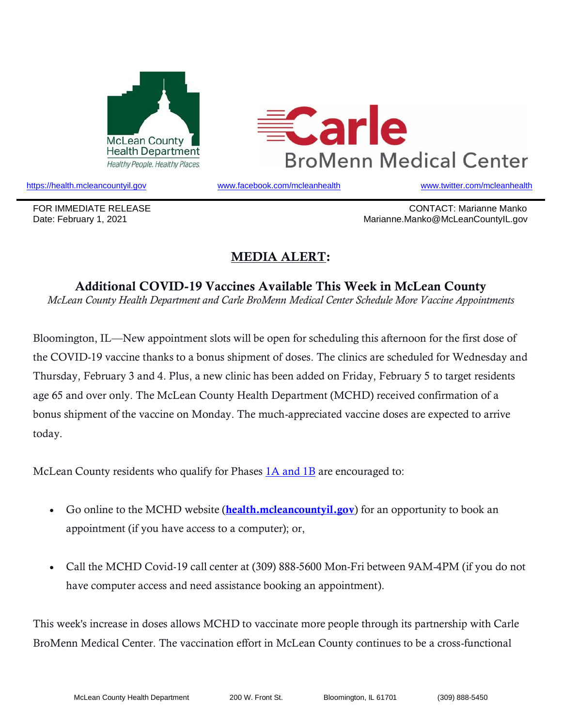



https://health.mcleancountyil.gov www.facebook.com/mcleanhealth www.twitter.com/mcleanhealth

FOR IMMEDIATE RELEASE CONTACT: Marianne Manko Date: February 1, 2021 Marianne.Manko@McLeanCountyIL.gov

## MEDIA ALERT:

Additional COVID-19 Vaccines Available This Week in McLean County *McLean County Health Department and Carle BroMenn Medical Center Schedule More Vaccine Appointments*

Bloomington, IL—New appointment slots will be open for scheduling this afternoon for the first dose of the COVID-19 vaccine thanks to a bonus shipment of doses. The clinics are scheduled for Wednesday and Thursday, February 3 and 4. Plus, a new clinic has been added on Friday, February 5 to target residents age 65 and over only. The McLean County Health Department (MCHD) received confirmation of a bonus shipment of the vaccine on Monday. The much-appreciated vaccine doses are expected to arrive today.

McLean County residents who qualify for Phases 1A and 1B are encouraged to:

- Go online to the MCHD website (**health.mcleancountyil.gov**) for an opportunity to book an appointment (if you have access to a computer); or,
- Call the MCHD Covid-19 call center at (309) 888-5600 Mon-Fri between 9AM-4PM (if you do not have computer access and need assistance booking an appointment).

This week's increase in doses allows MCHD to vaccinate more people through its partnership with Carle BroMenn Medical Center. The vaccination effort in McLean County continues to be a cross-functional